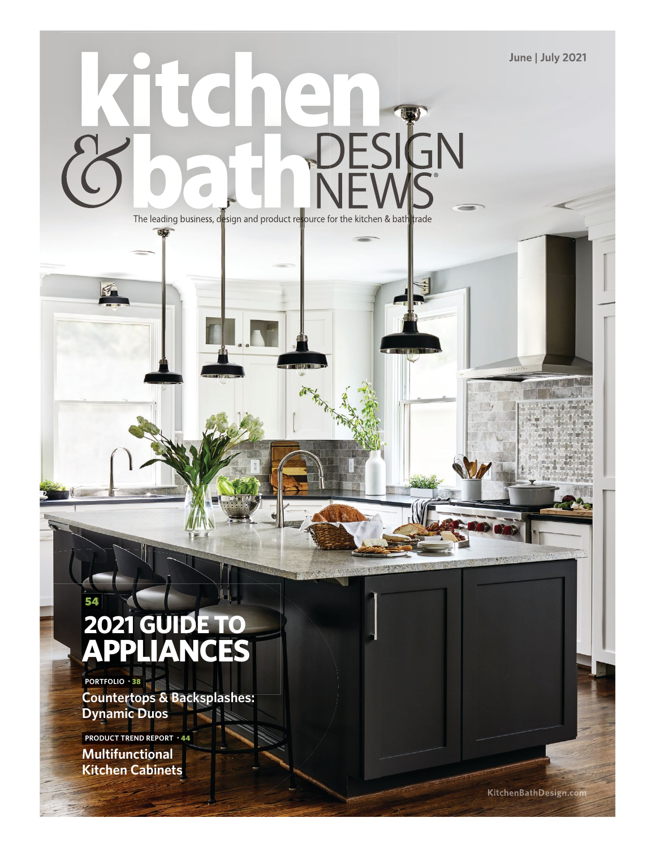**June | July 2021**

## **DESIGN** The leading business, design and product resource for the kitchen & bath trade

### **2021 GUIDE TO APPLIANCES**

**PORTFOLIO** • 38

54

**Countertops & Backsplashes: Dynamic Duos**

**Multifunctional Kitchen Cabinets PRODUCT TREND REPORT** • 44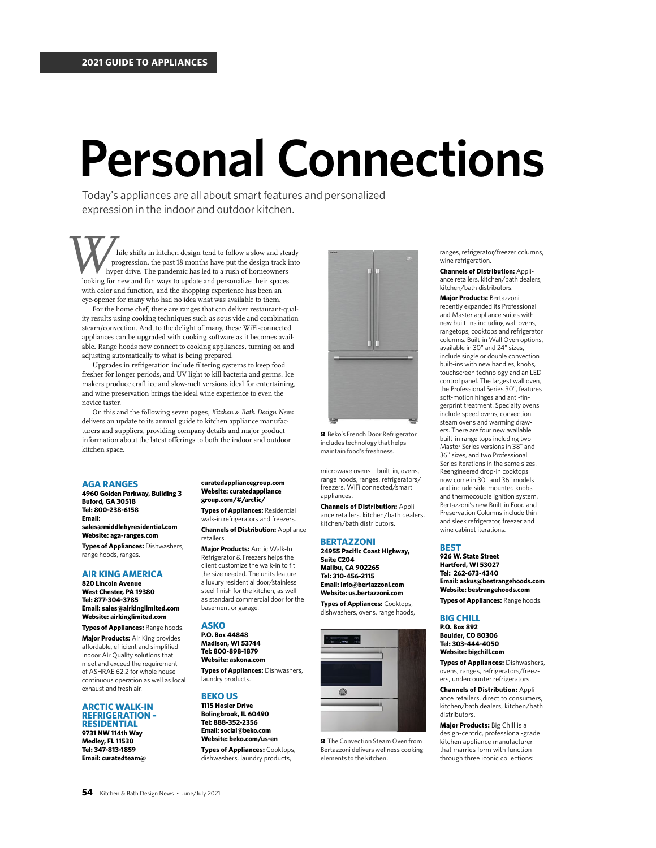# **Personal Connections**

Today's appliances are all about smart features and personalized expression in the indoor and outdoor kitchen.

 hile shifts in kitchen design tend to follow a slow and steady progression, the past 18 months have put the design track into hyper drive. The pandemic has led to a rush of homeowners hile shifts in kitchen design tend to follow a slow and steal progression, the past 18 months have put the design track is update and personalize their spaces looking for new and fun ways to update and personalize their sp with color and function, and the shopping experience has been an eye-opener for many who had no idea what was available to them.

For the home chef, there are ranges that can deliver restaurant-quality results using cooking techniques such as sous vide and combination steam/convection. And, to the delight of many, these WiFi-connected appliances can be upgraded with cooking software as it becomes available. Range hoods now connect to cooking appliances, turning on and adjusting automatically to what is being prepared.

Upgrades in refrigeration include fltering systems to keep food fresher for longer periods, and UV light to kill bacteria and germs. Ice makers produce craft ice and slow-melt versions ideal for entertaining, and wine preservation brings the ideal wine experience to even the novice taster.

On this and the following seven pages, *Kitchen* & *Bath Design News* delivers an update to its annual guide to kitchen appliance manufacturers and suppliers, providing company details and major product information about the latest offerings to both the indoor and outdoor kitchen space.

#### **AGA RANGES**

**4960 Golden Parkway, Building 3 Buford, GA 30518 Tel: 800-238-6158 Email: sales@middlebyresidential.com Website: aga-ranges.com Types of Appliances:** Dishwashers, range hoods, ranges.

#### **AIR KING AMERICA**

**820 Lincoln Avenue West Chester, PA 19380 Tel: 877-304-3785 Email: sales@airkinglimited.com Website: airkinglimited.com**

**Types of Appliances:** Range hoods. **Major Products:** Air King provides affordable, efficient and simplified Indoor Air Quality solutions that meet and exceed the requirement of ASHRAE 62.2 for whole house continuous operation as well as local exhaust and fresh air.

#### **ARCTIC WALK-IN REFRIGERATION – RESIDENTIAL**

**9731 NW 114th Way Medley, FL 11530 Tel: 347-813-1859 Email: curatedteam@** 

#### **curatedappliancegroup.com Website: curatedappliance group.com/#/arctic/**

**Types of Appliances:** Residential walk-in refrigerators and freezers. **Channels of Distribution:** Appliance retailers.

**Major Products:** Arctic Walk-In Refrigerator & Freezers helps the client customize the walk-in to fit the size needed. The units feature a luxury residential door/stainless steel finish for the kitchen, as well as standard commercial door for the basement or garage.

#### **ASKO**

**P.O. Box 44848 Madison, WI 53744 Tel: 800-898-1879 Website: askona.com**

**Types of Appliances:** Dishwashers, laundry products.

#### **BEKO US**

**1115 Hosler Drive Bolingbrook, IL 60490 Tel: 888-352-2356 Email: social@beko.com Website: beko.com/us-en**

**Types of Appliances:** Cooktops, dishwashers, laundry products,



**Beko's French Door Refrigerator** includes technology that helps maintain food's freshness.

microwave ovens – built-in, ovens, range hoods, ranges, refrigerators/ freezers, WiFi connected/smart appliances.

**Channels of Distribution:** Appliance retailers, kitchen/bath dealers, kitchen/bath distributors.

#### **BERTAZZONI**

**24955 Pacific Coast Highway, Suite C204 Malibu, CA 902265 Tel: 310-456-2115 Email: info@bertazzoni.com Website: us.bertazzoni.com Types of Appliances:** Cooktops, dishwashers, ovens, range hoods,



The Convection Steam Oven from Bertazzoni delivers wellness cooking elements to the kitchen.

ranges, refrigerator/freezer columns, wine refrigeration.

**Channels of Distribution:** Appliance retailers, kitchen/bath dealers, kitchen/bath distributors.

**Major Products:** Bertazzoni recently expanded its Professional and Master appliance suites with new built-ins including wall ovens, rangetops, cooktops and refrigerator columns. Built-in Wall Oven options, available in 30" and 24" sizes, include single or double convection built-ins with new handles, knobs, touchscreen technology and an LED control panel. The largest wall oven, the Professional Series 30", features soft-motion hinges and anti-fingerprint treatment. Specialty ovens include speed ovens, convection steam ovens and warming drawers. There are four new available built-in range tops including two Master Series versions in 38" and 36" sizes, and two Professional Series iterations in the same sizes. Reengineered drop-in cooktops now come in 30" and 36" models and include side-mounted knobs and thermocouple ignition system. Bertazzoni's new Built-in Food and Preservation Columns include thin and sleek refrigerator, freezer and wine cabinet iterations.

#### **BEST**

**926 W. State Street Hartford, WI 53027 Tel: 262-673-4340 Email: askus@bestrangehoods.com Website: bestrangehoods.com**

**Types of Appliances:** Range hoods.

#### **BIG CHILL**

**P.O. Box 892 Boulder, CO 80306 Tel: 303-444-4050 Website: bigchill.com**

**Types of Appliances:** Dishwashers, ovens, ranges, refrigerators/freezers, undercounter refrigerators.

**Channels of Distribution:** Appliance retailers, direct to consumers, kitchen/bath dealers, kitchen/bath distributors.

**Major Products:** Big Chill is a design-centric, professional-grade kitchen appliance manufacturer that marries form with function through three iconic collections: